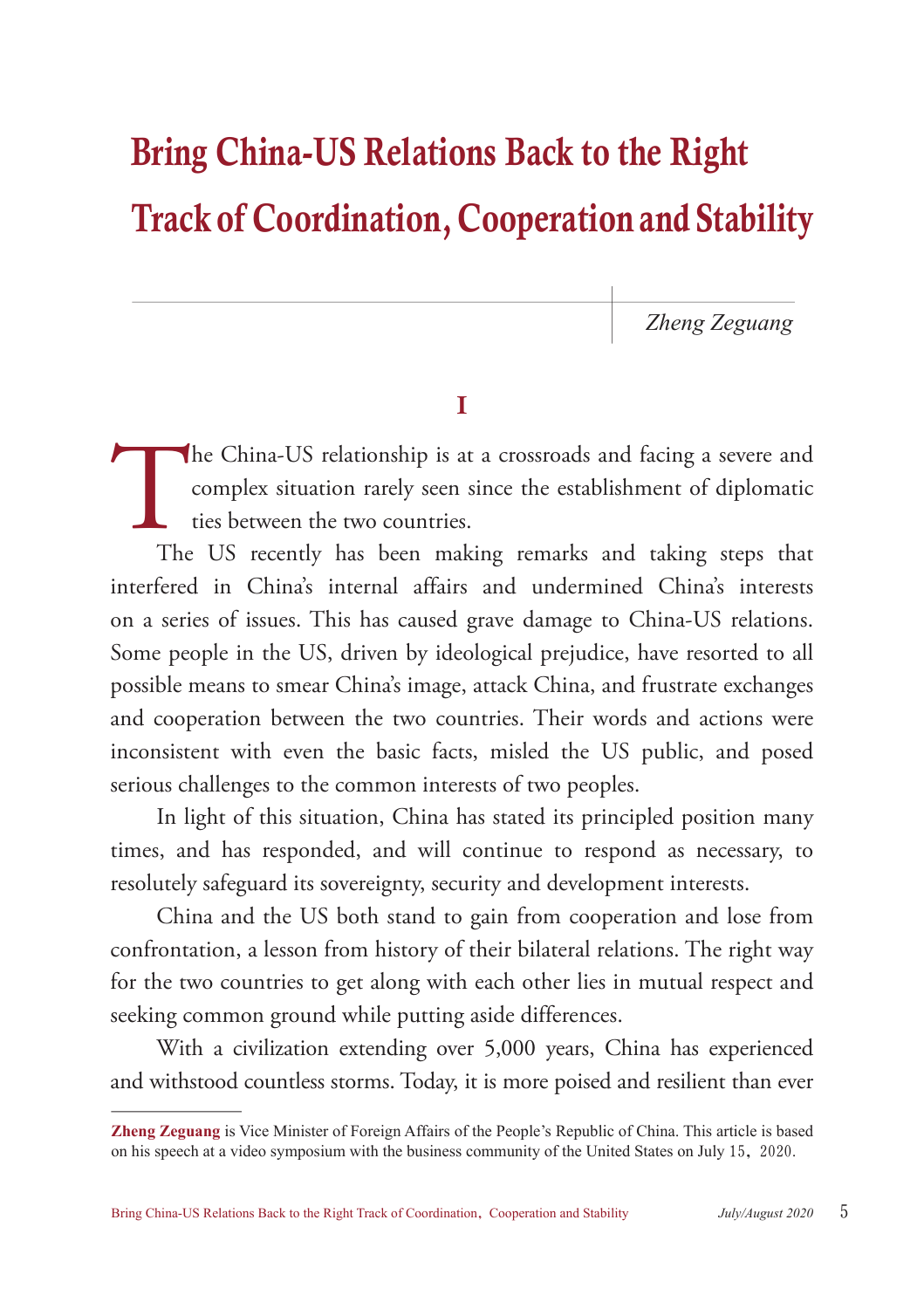# Bring China-US Relations Back to the Right Track of Coordination, Cooperation and Stability

*Zheng Zeguang*

## I

The China-US relationship is at a crossroads and facing a severe and complex situation rarely seen since the establishment of diplomatic ties between the two countries.<br>The US recently has been making remarks and taking st complex situation rarely seen since the establishment of diplomatic ties between the two countries.

The US recently has been making remarks and taking steps that interfered in China's internal affairs and undermined China's interests on a series of issues. This has caused grave damage to China-US relations. Some people in the US, driven by ideological prejudice, have resorted to all possible means to smear China's image, attack China, and frustrate exchanges and cooperation between the two countries. Their words and actions were inconsistent with even the basic facts, misled the US public, and posed serious challenges to the common interests of two peoples.

In light of this situation, China has stated its principled position many times, and has responded, and will continue to respond as necessary, to resolutely safeguard its sovereignty, security and development interests.

China and the US both stand to gain from cooperation and lose from confrontation, a lesson from history of their bilateral relations. The right way for the two countries to get along with each other lies in mutual respect and seeking common ground while putting aside differences.

With a civilization extending over 5,000 years, China has experienced and withstood countless storms. Today, it is more poised and resilient than ever

**Zheng Zeguang** is Vice Minister of Foreign Affairs of the People's Republic of China. This article is based on his speech at a video symposium with the business community of the United States on July 15, 2020.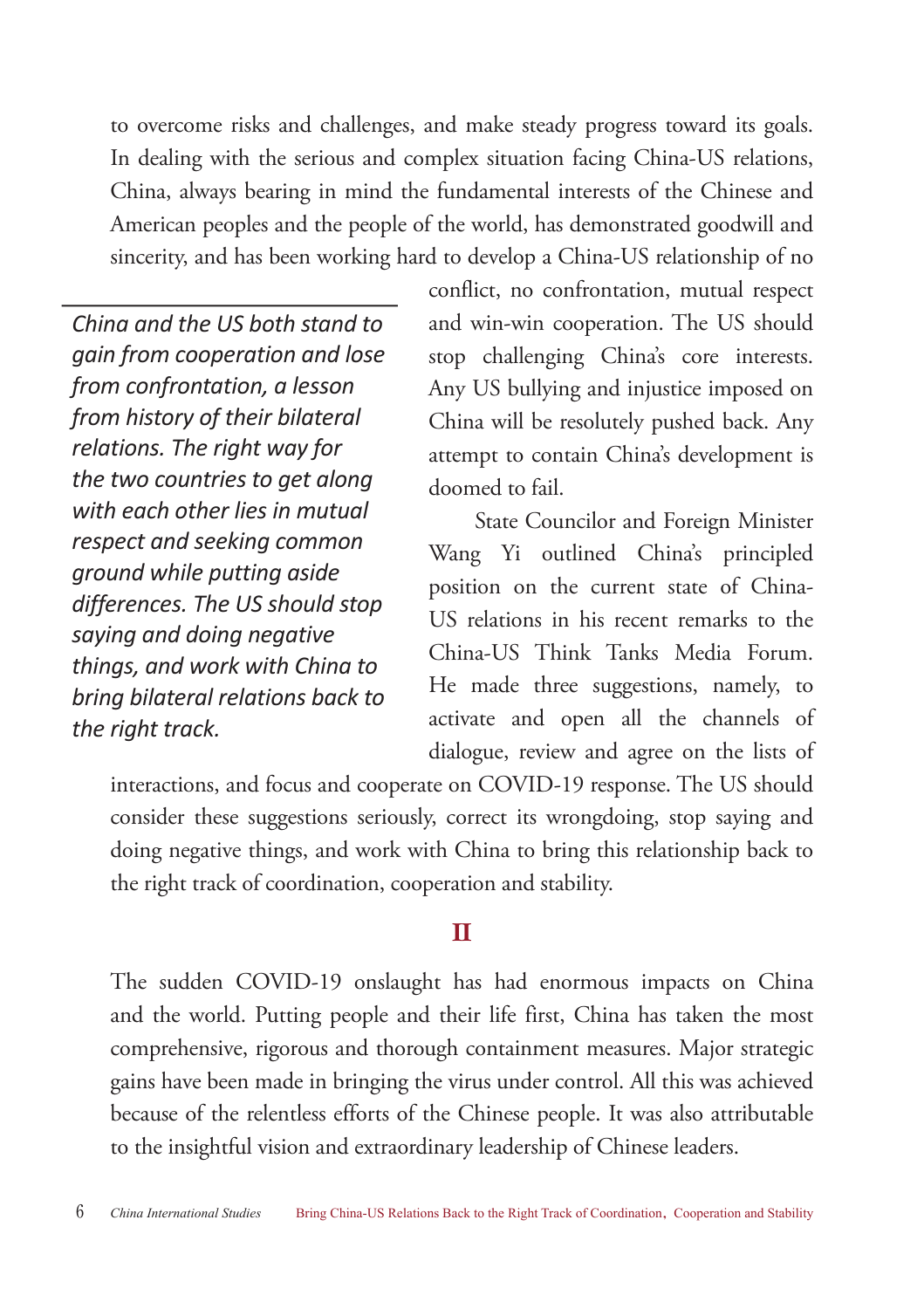to overcome risks and challenges, and make steady progress toward its goals. In dealing with the serious and complex situation facing China-US relations, China, always bearing in mind the fundamental interests of the Chinese and American peoples and the people of the world, has demonstrated goodwill and sincerity, and has been working hard to develop a China-US relationship of no

*China and the US both stand to gain from cooperation and lose from confrontation, a lesson from history of their bilateral relations. The right way for the two countries to get along with each other lies in mutual respect and seeking common ground while putting aside differences. The US should stop saying and doing negative things, and work with China to bring bilateral relations back to the right track.*

conflict, no confrontation, mutual respect and win-win cooperation. The US should stop challenging China's core interests. Any US bullying and injustice imposed on China will be resolutely pushed back. Any attempt to contain China's development is doomed to fail.

State Councilor and Foreign Minister Wang Yi outlined China's principled position on the current state of China-US relations in his recent remarks to the China-US Think Tanks Media Forum. He made three suggestions, namely, to activate and open all the channels of dialogue, review and agree on the lists of

interactions, and focus and cooperate on COVID-19 response. The US should consider these suggestions seriously, correct its wrongdoing, stop saying and doing negative things, and work with China to bring this relationship back to the right track of coordination, cooperation and stability.

### $\Pi$

The sudden COVID-19 onslaught has had enormous impacts on China and the world. Putting people and their life first, China has taken the most comprehensive, rigorous and thorough containment measures. Major strategic gains have been made in bringing the virus under control. All this was achieved because of the relentless efforts of the Chinese people. It was also attributable to the insightful vision and extraordinary leadership of Chinese leaders.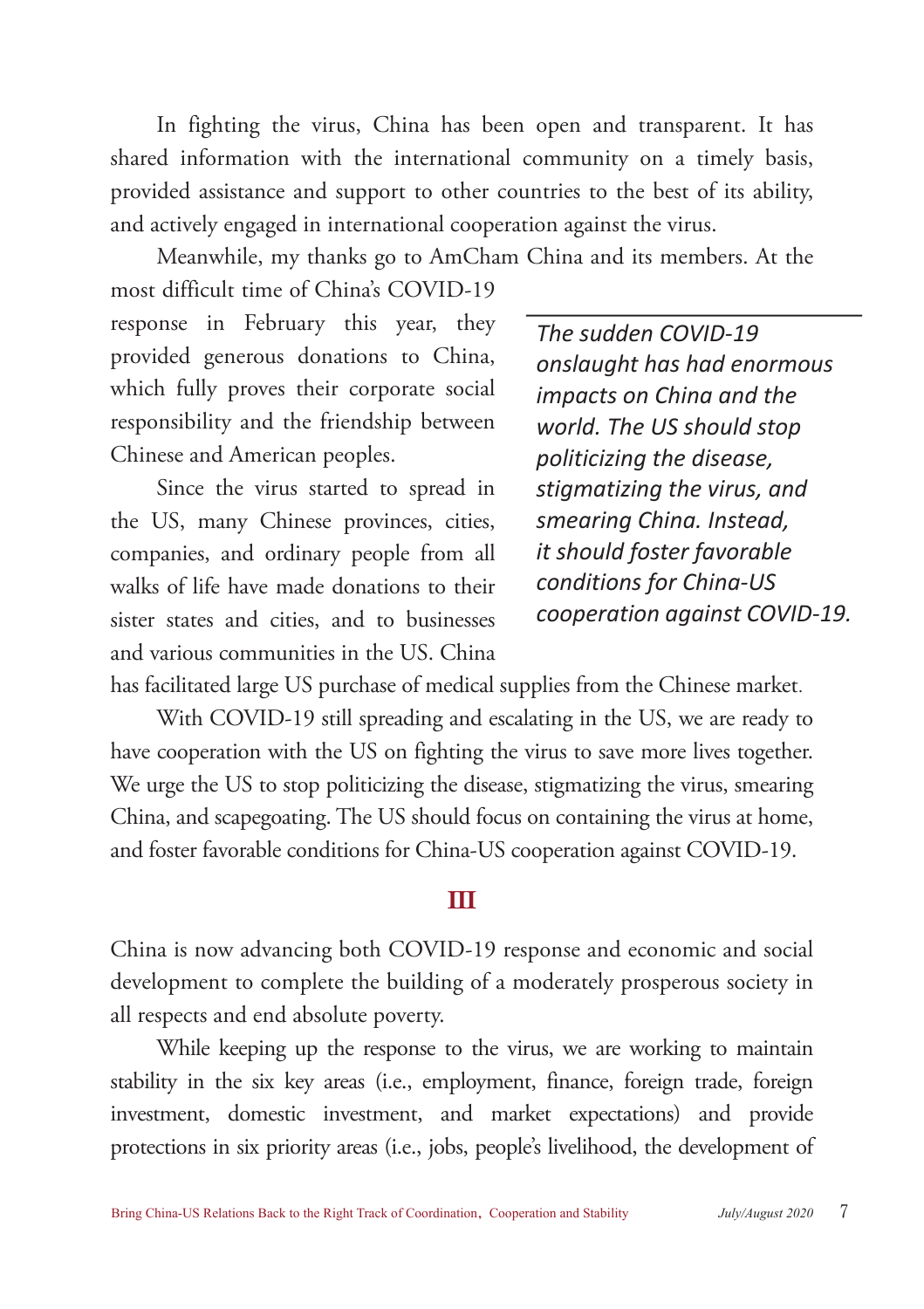In fighting the virus, China has been open and transparent. It has shared information with the international community on a timely basis, provided assistance and support to other countries to the best of its ability, and actively engaged in international cooperation against the virus.

Meanwhile, my thanks go to AmCham China and its members. At the

most difficult time of China's COVID-19 response in February this year, they provided generous donations to China, which fully proves their corporate social responsibility and the friendship between Chinese and American peoples.

Since the virus started to spread in the US, many Chinese provinces, cities, companies, and ordinary people from all walks of life have made donations to their sister states and cities, and to businesses and various communities in the US. China

*The sudden COVID-19 onslaught has had enormous impacts on China and the world. The US should stop politicizing the disease, stigmatizing the virus, and smearing China. Instead, it should foster favorable conditions for China-US cooperation against COVID-19.*

has facilitated large US purchase of medical supplies from the Chinese market.

With COVID-19 still spreading and escalating in the US, we are ready to have cooperation with the US on fighting the virus to save more lives together. We urge the US to stop politicizing the disease, stigmatizing the virus, smearing China, and scapegoating. The US should focus on containing the virus at home, and foster favorable conditions for China-US cooperation against COVID-19.

### III

China is now advancing both COVID-19 response and economic and social development to complete the building of a moderately prosperous society in all respects and end absolute poverty.

While keeping up the response to the virus, we are working to maintain stability in the six key areas (i.e., employment, finance, foreign trade, foreign investment, domestic investment, and market expectations) and provide protections in six priority areas (i.e., jobs, people's livelihood, the development of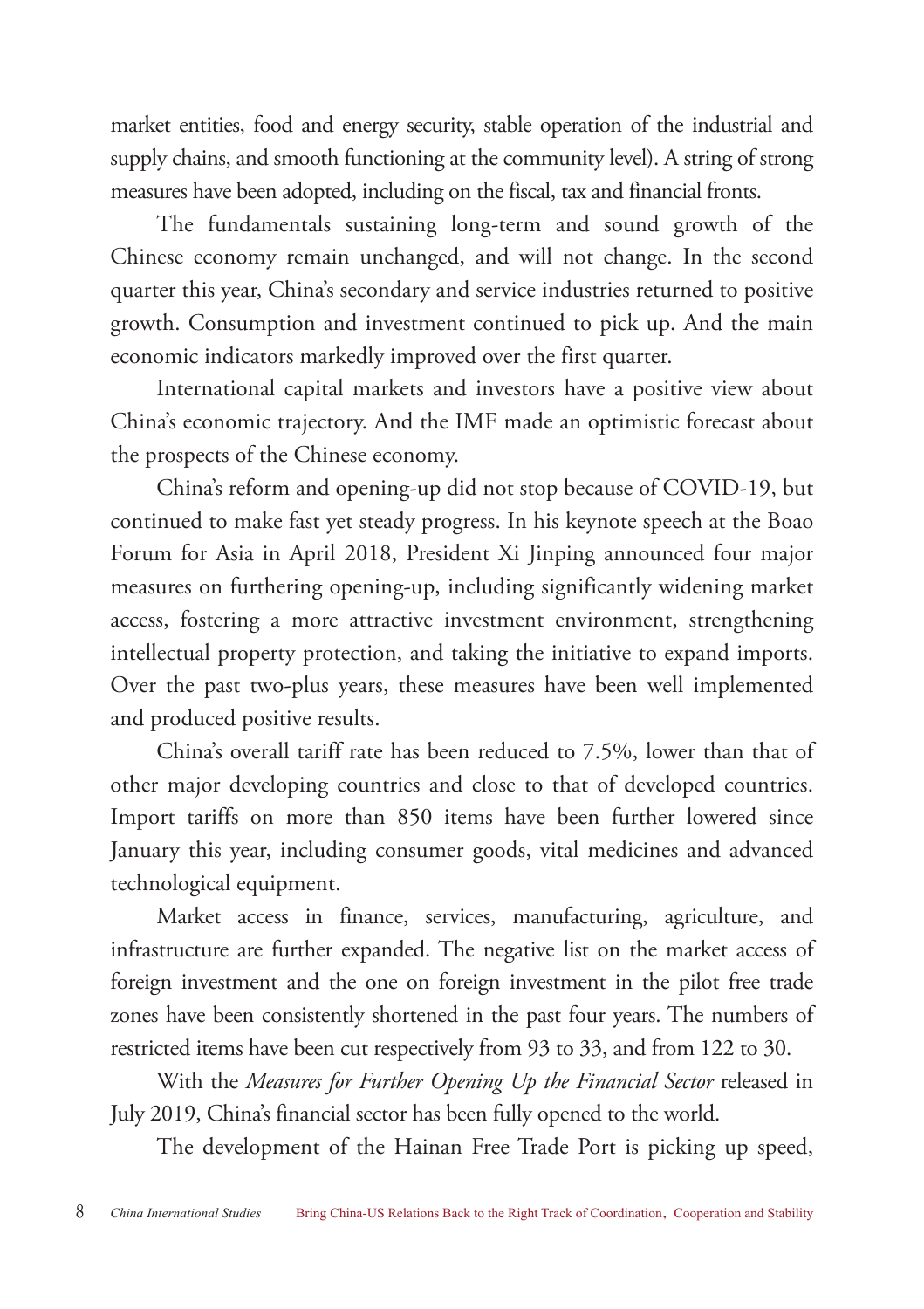market entities, food and energy security, stable operation of the industrial and supply chains, and smooth functioning at the community level). A string of strong measures have been adopted, including on the fiscal, tax and financial fronts.

The fundamentals sustaining long-term and sound growth of the Chinese economy remain unchanged, and will not change. In the second quarter this year, China's secondary and service industries returned to positive growth. Consumption and investment continued to pick up. And the main economic indicators markedly improved over the first quarter.

International capital markets and investors have a positive view about China's economic trajectory. And the IMF made an optimistic forecast about the prospects of the Chinese economy.

China's reform and opening-up did not stop because of COVID-19, but continued to make fast yet steady progress. In his keynote speech at the Boao Forum for Asia in April 2018, President Xi Jinping announced four major measures on furthering opening-up, including significantly widening market access, fostering a more attractive investment environment, strengthening intellectual property protection, and taking the initiative to expand imports. Over the past two-plus years, these measures have been well implemented and produced positive results.

China's overall tariff rate has been reduced to 7.5%, lower than that of other major developing countries and close to that of developed countries. Import tariffs on more than 850 items have been further lowered since January this year, including consumer goods, vital medicines and advanced technological equipment.

Market access in finance, services, manufacturing, agriculture, and infrastructure are further expanded. The negative list on the market access of foreign investment and the one on foreign investment in the pilot free trade zones have been consistently shortened in the past four years. The numbers of restricted items have been cut respectively from 93 to 33, and from 122 to 30.

With the *Measures for Further Opening Up the Financial Sector* released in July 2019, China's financial sector has been fully opened to the world.

The development of the Hainan Free Trade Port is picking up speed,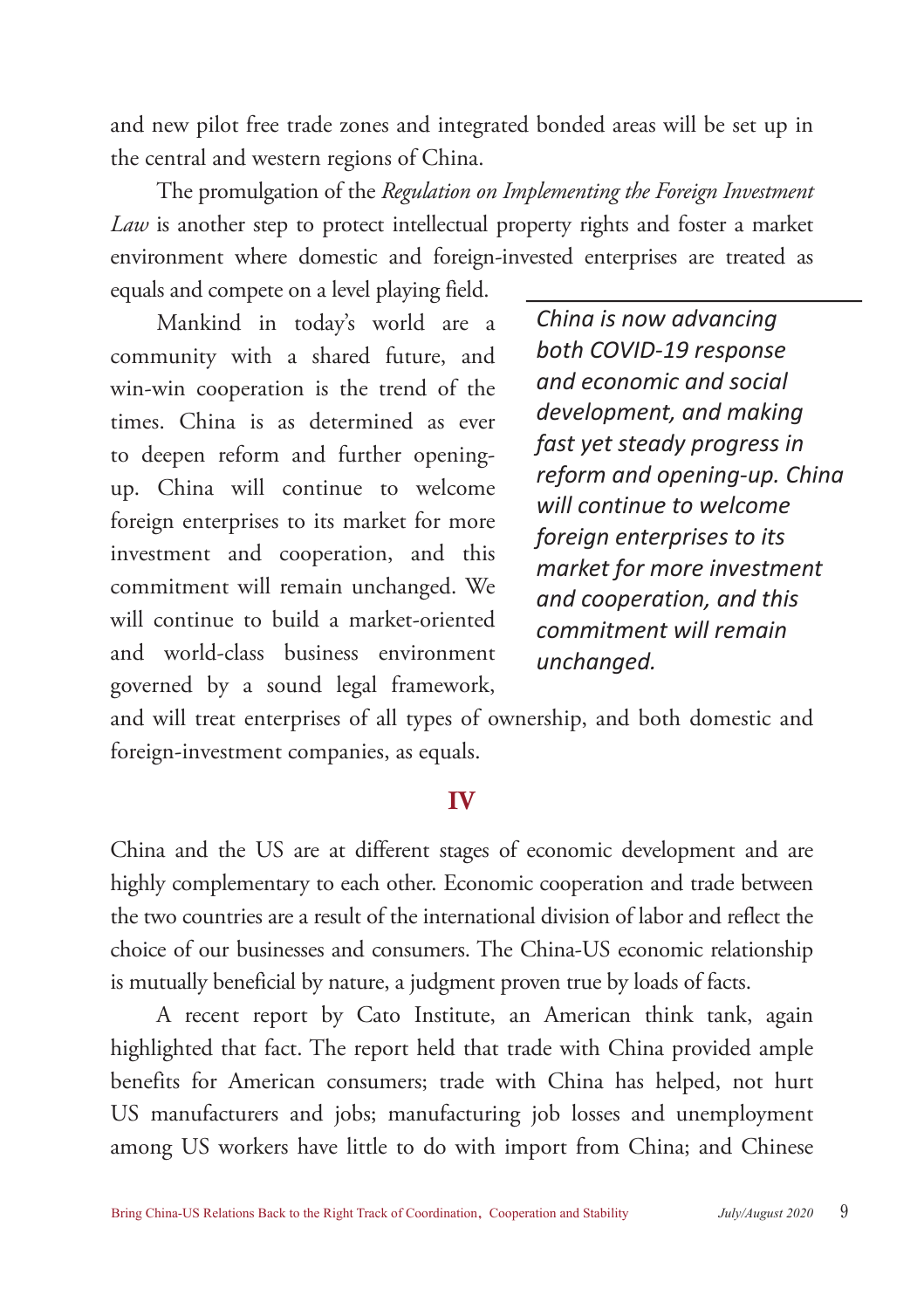and new pilot free trade zones and integrated bonded areas will be set up in the central and western regions of China.

The promulgation of the *Regulation on Implementing the Foreign Investment Law* is another step to protect intellectual property rights and foster a market environment where domestic and foreign-invested enterprises are treated as equals and compete on a level playing field.

Mankind in today's world are a community with a shared future, and win-win cooperation is the trend of the times. China is as determined as ever to deepen reform and further openingup. China will continue to welcome foreign enterprises to its market for more investment and cooperation, and this commitment will remain unchanged. We will continue to build a market-oriented and world-class business environment governed by a sound legal framework,

*China is now advancing both COVID-19 response and economic and social development, and making fast yet steady progress in reform and opening-up. China will continue to welcome foreign enterprises to its market for more investment and cooperation, and this commitment will remain unchanged.*

and will treat enterprises of all types of ownership, and both domestic and foreign-investment companies, as equals.

### IV

China and the US are at different stages of economic development and are highly complementary to each other. Economic cooperation and trade between the two countries are a result of the international division of labor and reflect the choice of our businesses and consumers. The China-US economic relationship is mutually beneficial by nature, a judgment proven true by loads of facts.

A recent report by Cato Institute, an American think tank, again highlighted that fact. The report held that trade with China provided ample benefits for American consumers; trade with China has helped, not hurt US manufacturers and jobs; manufacturing job losses and unemployment among US workers have little to do with import from China; and Chinese